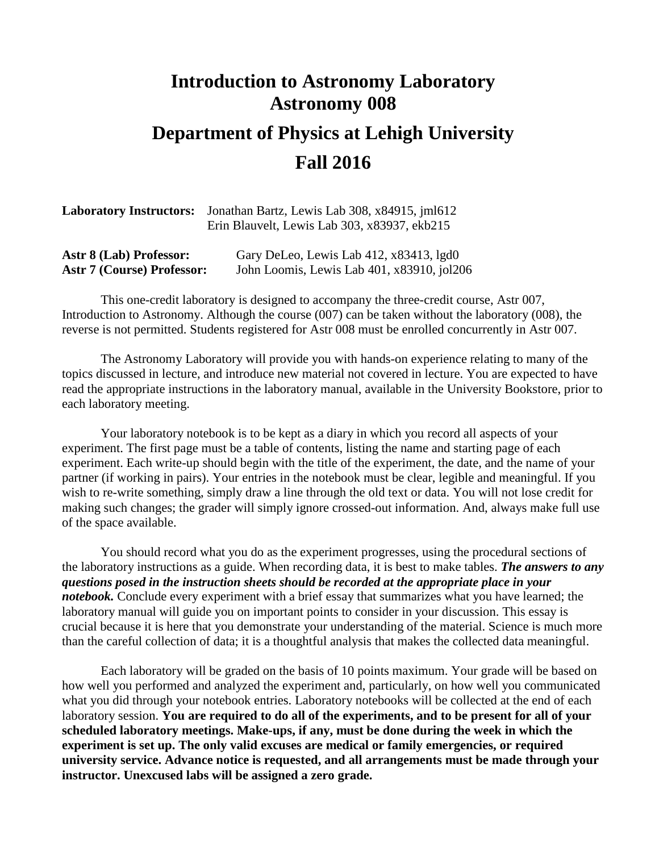# **Introduction to Astronomy Laboratory Astronomy 008 Department of Physics at Lehigh University**

**Fall 2016**

|                                   | <b>Laboratory Instructors:</b> Jonathan Bartz, Lewis Lab 308, x84915, jml612<br>Erin Blauvelt, Lewis Lab 303, x83937, ekb215 |  |
|-----------------------------------|------------------------------------------------------------------------------------------------------------------------------|--|
| Astr 8 (Lab) Professor:           | Gary DeLeo, Lewis Lab 412, x83413, 1gd0                                                                                      |  |
| <b>Astr 7 (Course) Professor:</b> | John Loomis, Lewis Lab 401, x83910, jol206                                                                                   |  |

This one-credit laboratory is designed to accompany the three-credit course, Astr 007, Introduction to Astronomy. Although the course (007) can be taken without the laboratory (008), the reverse is not permitted. Students registered for Astr 008 must be enrolled concurrently in Astr 007.

The Astronomy Laboratory will provide you with hands-on experience relating to many of the topics discussed in lecture, and introduce new material not covered in lecture. You are expected to have read the appropriate instructions in the laboratory manual, available in the University Bookstore, prior to each laboratory meeting.

Your laboratory notebook is to be kept as a diary in which you record all aspects of your experiment. The first page must be a table of contents, listing the name and starting page of each experiment. Each write-up should begin with the title of the experiment, the date, and the name of your partner (if working in pairs). Your entries in the notebook must be clear, legible and meaningful. If you wish to re-write something, simply draw a line through the old text or data. You will not lose credit for making such changes; the grader will simply ignore crossed-out information. And, always make full use of the space available.

You should record what you do as the experiment progresses, using the procedural sections of the laboratory instructions as a guide. When recording data, it is best to make tables. *The answers to any questions posed in the instruction sheets should be recorded at the appropriate place in your notebook.* Conclude every experiment with a brief essay that summarizes what you have learned; the laboratory manual will guide you on important points to consider in your discussion. This essay is crucial because it is here that you demonstrate your understanding of the material. Science is much more than the careful collection of data; it is a thoughtful analysis that makes the collected data meaningful.

Each laboratory will be graded on the basis of 10 points maximum. Your grade will be based on how well you performed and analyzed the experiment and, particularly, on how well you communicated what you did through your notebook entries. Laboratory notebooks will be collected at the end of each laboratory session. **You are required to do all of the experiments, and to be present for all of your scheduled laboratory meetings. Make-ups, if any, must be done during the week in which the experiment is set up. The only valid excuses are medical or family emergencies, or required university service. Advance notice is requested, and all arrangements must be made through your instructor. Unexcused labs will be assigned a zero grade.**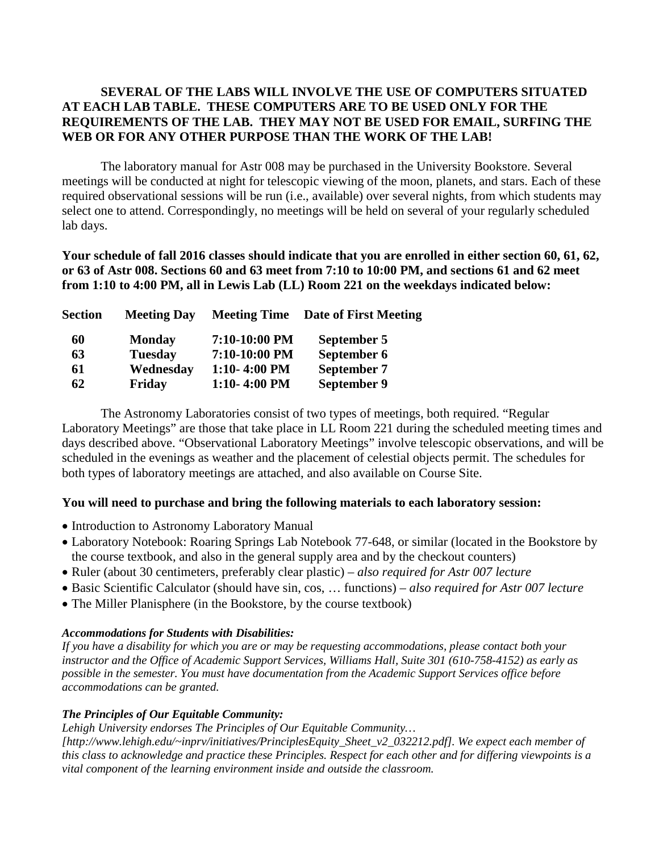## **SEVERAL OF THE LABS WILL INVOLVE THE USE OF COMPUTERS SITUATED AT EACH LAB TABLE. THESE COMPUTERS ARE TO BE USED ONLY FOR THE REQUIREMENTS OF THE LAB. THEY MAY NOT BE USED FOR EMAIL, SURFING THE WEB OR FOR ANY OTHER PURPOSE THAN THE WORK OF THE LAB!**

The laboratory manual for Astr 008 may be purchased in the University Bookstore. Several meetings will be conducted at night for telescopic viewing of the moon, planets, and stars. Each of these required observational sessions will be run (i.e., available) over several nights, from which students may select one to attend. Correspondingly, no meetings will be held on several of your regularly scheduled lab days.

**Your schedule of fall 2016 classes should indicate that you are enrolled in either section 60, 61, 62, or 63 of Astr 008. Sections 60 and 63 meet from 7:10 to 10:00 PM, and sections 61 and 62 meet from 1:10 to 4:00 PM, all in Lewis Lab (LL) Room 221 on the weekdays indicated below:**

| <b>Section</b> | <b>Meeting Day</b> |               | <b>Meeting Time Date of First Meeting</b> |
|----------------|--------------------|---------------|-------------------------------------------|
| 60             | <b>Monday</b>      | 7:10-10:00 PM | September 5                               |
| 63             | <b>Tuesday</b>     | 7:10-10:00 PM | September 6                               |
| 61             | Wednesday          | 1:10-4:00 PM  | <b>September 7</b>                        |
| 62             | Friday             | 1:10-4:00 PM  | <b>September 9</b>                        |

The Astronomy Laboratories consist of two types of meetings, both required. "Regular Laboratory Meetings" are those that take place in LL Room 221 during the scheduled meeting times and days described above. "Observational Laboratory Meetings" involve telescopic observations, and will be scheduled in the evenings as weather and the placement of celestial objects permit. The schedules for both types of laboratory meetings are attached, and also available on Course Site.

## **You will need to purchase and bring the following materials to each laboratory session:**

- Introduction to Astronomy Laboratory Manual
- Laboratory Notebook: Roaring Springs Lab Notebook 77-648, or similar (located in the Bookstore by the course textbook, and also in the general supply area and by the checkout counters)
- Ruler (about 30 centimeters, preferably clear plastic) *– also required for Astr 007 lecture*
- Basic Scientific Calculator (should have sin, cos, … functions) *– also required for Astr 007 lecture*
- The Miller Planisphere (in the Bookstore, by the course textbook)

#### *Accommodations for Students with Disabilities:*

*If you have a disability for which you are or may be requesting accommodations, please contact both your instructor and the Office of Academic Support Services, Williams Hall, Suite 301 (610-758-4152) as early as possible in the semester. You must have documentation from the Academic Support Services office before accommodations can be granted.*

## *The Principles of Our Equitable Community:*

*Lehigh University endorses The Principles of Our Equitable Community…* 

*[\[http://www.lehigh.edu/~inprv/initiatives/PrinciplesEquity\\_Sheet\\_v2\\_032212.pdf\]](http://www.lehigh.edu/%7Einprv/initiatives/PrinciplesEquity_Sheet_v2_032212.pdf). We expect each member of this class to acknowledge and practice these Principles. Respect for each other and for differing viewpoints is a vital component of the learning environment inside and outside the classroom.*